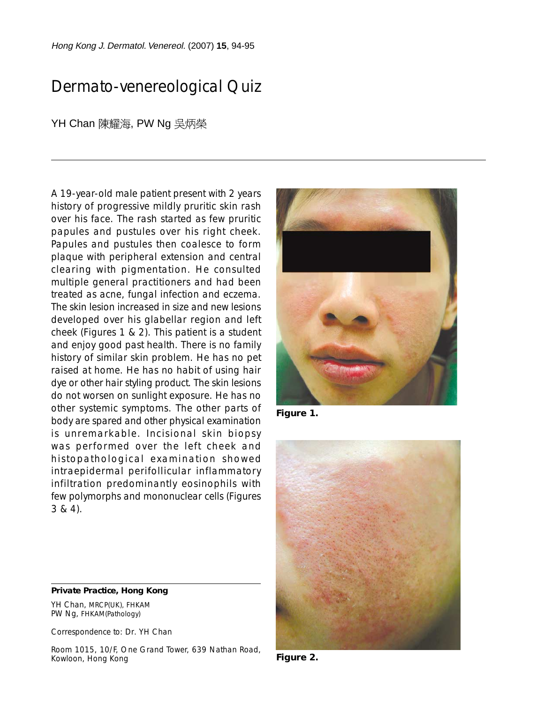Hong Kong J. Dermatol. Venereol. (2007) **15**, 94-95

# Dermato-venereological Quiz

### YH Chan 陳耀海, PW Ng 吳炳榮

A 19-year-old male patient present with 2 years history of progressive mildly pruritic skin rash over his face. The rash started as few pruritic papules and pustules over his right cheek. Papules and pustules then coalesce to form plaque with peripheral extension and central clearing with pigmentation. He consulted multiple general practitioners and had been treated as acne, fungal infection and eczema. The skin lesion increased in size and new lesions developed over his glabellar region and left cheek (Figures 1 & 2). This patient is a student and enjoy good past health. There is no family history of similar skin problem. He has no pet raised at home. He has no habit of using hair dye or other hair styling product. The skin lesions do not worsen on sunlight exposure. He has no other systemic symptoms. The other parts of body are spared and other physical examination is unremarkable. Incisional skin biopsy was performed over the left cheek and histopathological examination showed intraepidermal perifollicular inflammatory infiltration predominantly eosinophils with few polymorphs and mononuclear cells (Figures 3 & 4).



**Figure 1.**



**Figure 2.**

#### **Private Practice, Hong Kong**

YH Chan, MRCP(UK), FHKAM PW Ng, FHKAM(Pathology)

Correspondence to: Dr. YH Chan

Room 1015, 10/F, One Grand Tower, 639 Nathan Road, Kowloon, Hong Kong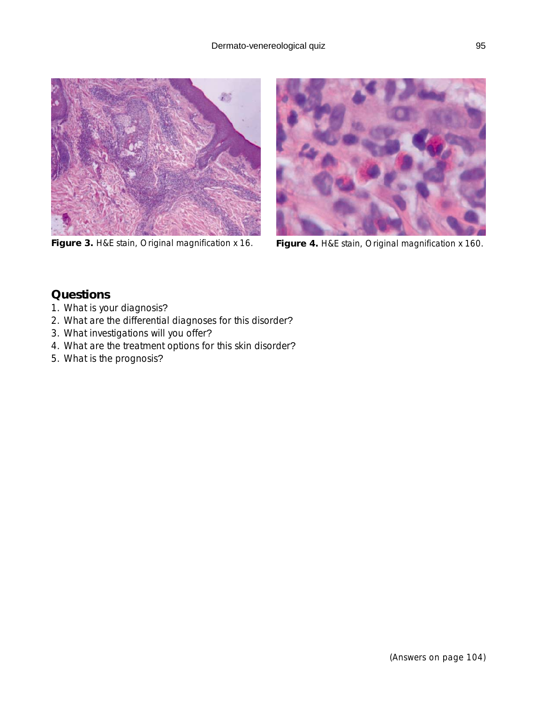



**Figure 3.** H&E stain, Original magnification x 16.



**Figure 4.** H&E stain, Original magnification x 160.

### **Questions**

- 1. What is your diagnosis?
- 2. What are the differential diagnoses for this disorder?
- 3. What investigations will you offer?
- 4. What are the treatment options for this skin disorder?
- 5. What is the prognosis?